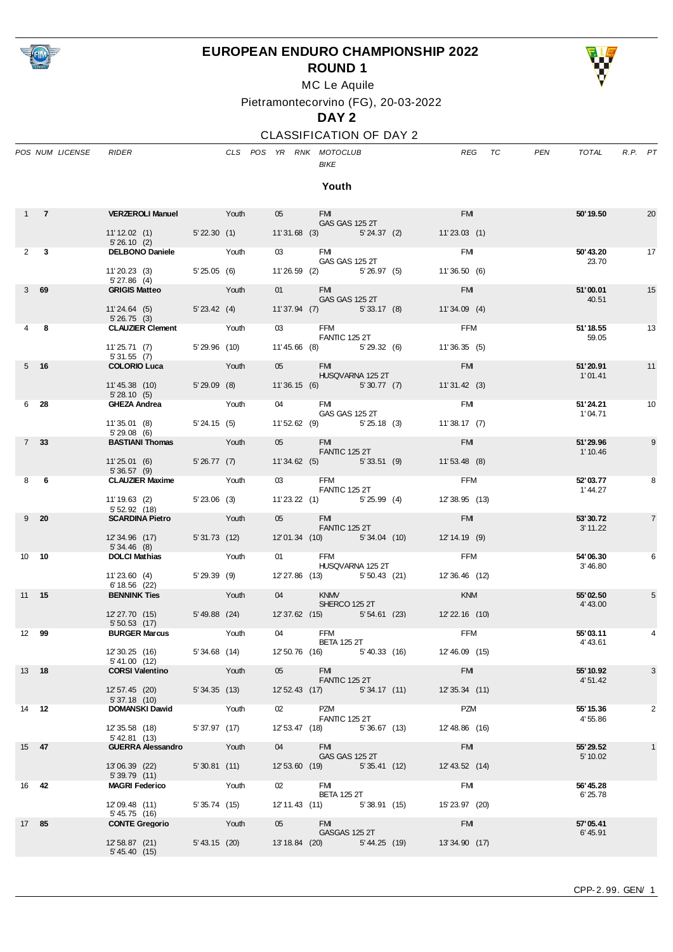

## **EUROPEAN ENDURO CHAMPIONSHIP 2022**



**ROUND 1**

MC Le Aquile

Pietramontecorvino (FG), 20-03-2022

#### **DAY 2**

### CLASSIFICATION OF DAY 2

|       |                 | POS NUM LICENSE | <b>RIDER</b>                                  |                                       |       |                   | CLS POS YR RNK MOTOCLUB<br><b>BIKE</b> |  |                                             | <b>REG</b>     | TC | PEN | TOTAL                 | R.P. PT |                |
|-------|-----------------|-----------------|-----------------------------------------------|---------------------------------------|-------|-------------------|----------------------------------------|--|---------------------------------------------|----------------|----|-----|-----------------------|---------|----------------|
|       |                 |                 |                                               |                                       |       |                   | Youth                                  |  |                                             |                |    |     |                       |         |                |
|       | $1 \quad 7$     |                 | <b>VERZEROLI Manuel</b> Youth                 |                                       |       | 05                | <b>FM</b><br><b>GAS GAS 125 2T</b>     |  |                                             | <b>FM</b>      |    |     | 50' 19.50             |         | 20             |
|       |                 |                 | 11'12.02 (1) 5'22.30 (1)<br>5'26.10(2)        |                                       |       |                   |                                        |  | 11'31.68 (3) 5'24.37 (2) 11'23.03 (1)       |                |    |     |                       |         |                |
|       | $2 \quad 3$     |                 | DELBONO Daniele Youth                         |                                       |       | 03 FMI            | <b>GAS GAS 125 2T</b>                  |  |                                             | FMI            |    |     | 50'43.20<br>23.70     |         | 17             |
|       |                 |                 | 11'20.23 (3) 5'25.05 (6)<br>5'27.86(4)        |                                       |       |                   | 11'26.59 (2) 5'26.97 (5)               |  |                                             | 11'36.50 (6)   |    |     |                       |         |                |
|       | 369             |                 | GRIGIS Matteo Youth                           |                                       |       |                   | 01 FMI<br>GAS GAS 125 2T               |  |                                             | <b>FM</b>      |    |     | 51'00.01<br>40.51     |         | 15             |
|       |                 |                 | 11'24.64 (5) 5'23.42 (4)<br>5'26.75(3)        |                                       |       |                   | 11'37.94 (7) 5'33.17 (8)               |  |                                             | 11'34.09(4)    |    |     |                       |         |                |
|       | 48              |                 | <b>CLAUZIER Clement</b> Youth                 |                                       |       |                   | 03 FFM<br><b>FANTIC 125 2T</b>         |  |                                             | FFM            |    |     | 51'18.55<br>59.05     |         | 13             |
|       |                 |                 | 11'25.71 (7) 5'29.96 (10)<br>5'31.55 (7)      |                                       |       |                   | 11'45.66 (8) 5'29.32 (6)               |  | 11'36.35(5)                                 |                |    |     |                       |         |                |
|       | $5$ 16          |                 | <b>COLORIO Luca</b>                           | <b>Example 2</b> Youth                |       |                   | 05 FMI<br>HUSQVARNA 125 2T             |  |                                             | <b>EMI</b>     |    |     | 51'20.91<br>1'01.41   |         | 11             |
|       |                 |                 | 11'45.38 (10) 5'29.09 (8)<br>5'28.10(5)       |                                       |       |                   | 11'36.15 (6) 5'30.77 (7)               |  |                                             | 11'31.42 (3)   |    |     |                       |         |                |
|       | 6 28            |                 | <b>GHEZA Andrea</b>                           | <b>Youth</b>                          |       |                   | 04 FMI<br><b>GAS GAS 125 2T</b>        |  |                                             | <b>FM</b>      |    |     | 51'24.21<br>1'04.71   |         | 10             |
|       |                 |                 | 11' 35.01 (8) 5' 24.15 (5)<br>5'29.08(6)      |                                       |       |                   | 11'52.62 (9) 5'25.18 (3)               |  |                                             | 11'38.17(7)    |    |     |                       |         |                |
|       | 7 <sup>33</sup> |                 | <b>BASTIANI Thomas</b> Youth                  |                                       |       |                   | 05 FMI<br><b>FANTIC 125 2T</b>         |  |                                             | <b>FM</b>      |    |     | 51'29.96<br>1' 10.46  |         | 9              |
|       |                 |                 | $11'25.01(6)$ 5'26.77 (7)<br>5'36.57(9)       |                                       |       |                   | 11'34.62 (5) 5'33.51 (9)               |  |                                             | 11'53.48 (8)   |    |     |                       |         |                |
|       | 8 6             |                 | <b>CLAUZIER Maxime</b> Youth                  | <u> San San San Sa</u>                |       | 03 and $\sim$     | FFM<br>FANTIC 125 2T                   |  |                                             | <b>FFM</b>     |    |     | 52'03.77<br>1'44.27   |         | 8              |
|       |                 |                 | 11'19.63 (2) 5'23.06 (3)<br>5'52.92(18)       |                                       |       |                   | 11'23.22 (1) 5'25.99 (4)               |  |                                             | 12'38.95 (13)  |    |     |                       |         |                |
|       | $9\quad 20$     |                 | <b>SCARDINA Pietro</b> Youth                  |                                       |       | 05 FMI            | <b>FANTIC 125 2T</b>                   |  |                                             | <b>FM</b>      |    |     | 53'30.72<br>3' 11.22  |         | $\overline{7}$ |
|       |                 |                 | 12' 34.96 (17) 5' 31.73 (12)<br>5' 34.46 (8)  |                                       |       |                   | 12'01.34 (10) 5'34.04 (10)             |  | $12' 14.19$ (9)                             |                |    |     |                       |         |                |
|       | 10 10           |                 | <b>DOLCI Mathias</b>                          |                                       | Youth | 01                | <b>FFM</b><br>HUSQVARNA 125 2T         |  |                                             | FFM            |    |     | 54'06.30<br>3' 46.80  |         | 6              |
|       |                 |                 | 11'23.60 (4) 5'29.39 (9)<br>6'18.56 (22)      |                                       |       |                   | 12'27.86 (13) 5'50.43 (21)             |  | 12' 36.46 (12)                              |                |    |     |                       |         |                |
|       | 11 15           |                 | <b>BENNINK Ties</b>                           | <b>Executive</b> Providence Provident |       | 04                | <b>KNMV</b><br>SHERCO 125 2T           |  |                                             | <b>KNM</b>     |    |     | 55'02.50<br>4' 43.00  |         | 5              |
|       |                 |                 | 12'27.70 (15) 5'49.88 (24)<br>5'50.53(17)     |                                       |       |                   |                                        |  | 12'37.62 (15) 5'54.61 (23) 12'22.16 (10)    |                |    |     |                       |         |                |
|       | 12 99           |                 | <b>BURGER Marcus</b>                          | <b>Example 2014</b> Youth             |       | 04                | <b>FFM</b><br><b>BETA 125 2T</b>       |  |                                             | FFM            |    |     | 55'03.11<br>4'43.61   |         | 4              |
|       |                 |                 | 12' 30.25 (16)<br>5'41.00 (12)                | 5'34.68 (14)                          |       |                   | 12' 50.76 (16) 5' 40.33 (16)           |  |                                             | 12' 46.09 (15) |    |     |                       |         |                |
| 13 18 |                 |                 | <b>CORSI Valentino</b>                        | <b>Example 19</b> Youth               |       | 05                | <b>FMI</b><br><b>FANTIC 125 2T</b>     |  |                                             | <b>FM</b>      |    |     | 55' 10.92<br>4' 51.42 |         | 3              |
|       |                 |                 | 12' 57.45 (20) 5' 34.35 (13)<br>5' 37.18 (10) |                                       |       |                   |                                        |  | 12' 52.43 (17) 5' 34.17 (11) 12' 35.34 (11) |                |    |     |                       |         |                |
|       | 14 12           |                 | <b>DOMANSKI Dawid</b>                         | <b>Example 12</b> Youth               |       | 02                | <b>PZM</b><br>FANTIC 125 2T            |  |                                             | PZM            |    |     | 55' 15.36<br>4'55.86  |         | 2              |
|       |                 |                 | 12' 35.58 (18)<br>5' 42.81 (13)               | 5'37.97 (17)                          |       |                   | 12' 53.47 (18) 5' 36.67 (13)           |  |                                             | 12'48.86 (16)  |    |     |                       |         |                |
|       | 15 47           |                 | <b>GUERRA Alessandro</b> Youth                |                                       |       | 04                | <b>FMI</b><br>GAS GAS 125 2T           |  |                                             | <b>FM</b>      |    |     | 55' 29.52<br>5' 10.02 |         | $\mathbf{1}$   |
|       |                 |                 | 13'06.39 (22)<br>5'39.79(11)                  | 5'30.81 (11)                          |       |                   | 12' 53.60 (19) 5' 35.41 (12)           |  |                                             | 12' 43.52 (14) |    |     |                       |         |                |
|       | 16 42           |                 | <b>MAGRI Federico</b> Youth                   |                                       |       | $02 \quad \ldots$ | <b>FMI</b><br><b>BETA 125 2T</b>       |  |                                             | <b>FM</b>      |    |     | 56' 45.28<br>6'25.78  |         |                |
|       |                 |                 | 12'09.48 (11)<br>5' 45.75 (16)                | 5' 35.74 (15)                         |       |                   | 12'11.43 (11) 5'38.91 (15)             |  |                                             | 15' 23.97 (20) |    |     |                       |         |                |
| 17 85 |                 |                 | <b>CONTE Gregorio</b>                         | <b>Example 2</b> Youth                |       | 05                | FM 3<br>GASGAS 125 2T                  |  |                                             | <b>FM</b>      |    |     | 57'05.41<br>6' 45.91  |         |                |
|       |                 |                 | 12' 58.87 (21)<br>5' 45.40 (15)               | 5'43.15 (20)                          |       |                   |                                        |  | 13'18.84 (20) 5'44.25 (19) 13'34.90 (17)    |                |    |     |                       |         |                |
|       |                 |                 |                                               |                                       |       |                   |                                        |  |                                             |                |    |     |                       |         |                |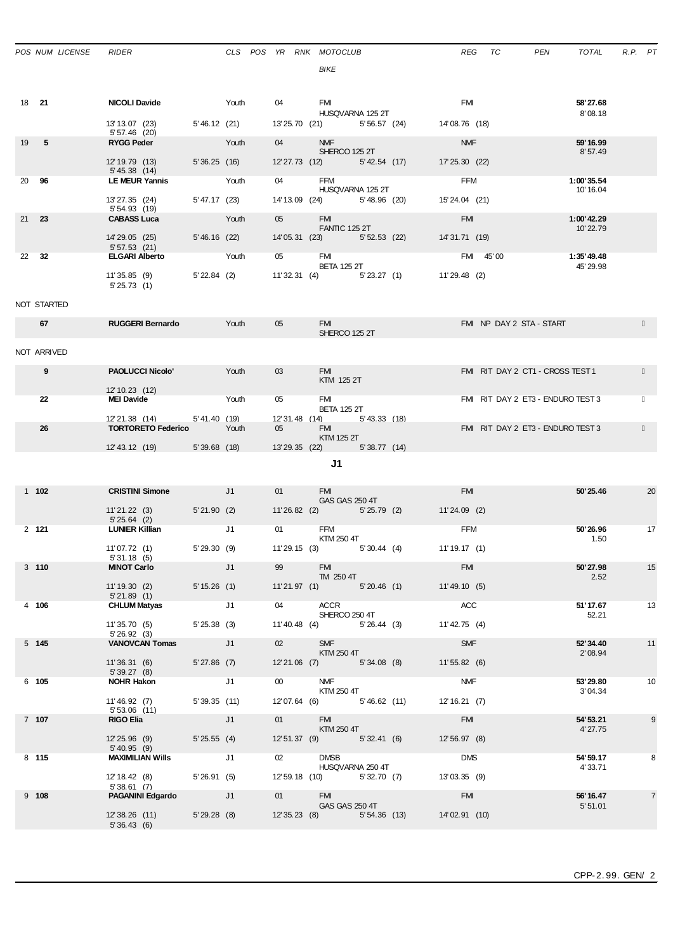|               | POS NUM LICENSE | <b>RIDER</b>                        |                                                                                                                                                                                                                                                                                                                                                                                                                                                                                 |       |    | CLS POS YR RNK MOTOCLUB<br>BIKE                   | REG             | TC<br>PEN                         | TOTAL                   | $R.P.$ $PT$    |
|---------------|-----------------|-------------------------------------|---------------------------------------------------------------------------------------------------------------------------------------------------------------------------------------------------------------------------------------------------------------------------------------------------------------------------------------------------------------------------------------------------------------------------------------------------------------------------------|-------|----|---------------------------------------------------|-----------------|-----------------------------------|-------------------------|----------------|
| 18 21         |                 | <b>NICOLI Davide</b>                |                                                                                                                                                                                                                                                                                                                                                                                                                                                                                 | Youth | 04 | FM                                                | <b>FM</b>       |                                   | 58'27.68                |                |
|               |                 | 13' 13.07 (23)                      | 5'46.12 (21)                                                                                                                                                                                                                                                                                                                                                                                                                                                                    |       |    | HUSQVARNA 125 2T<br>13'25.70 (21) 5'56.57 (24)    | 14'08.76 (18)   |                                   | 8'08.18                 |                |
| 19            | $-5$            | 5' 57.46 (20)<br><b>RYGG Peder</b>  |                                                                                                                                                                                                                                                                                                                                                                                                                                                                                 | Youth | 04 | NMF <sub>2</sub>                                  | <b>NMF</b>      |                                   | 59' 16.99               |                |
|               |                 | 12' 19.79 (13)<br>$5' 45.38$ (14)   | 5'36.25(16)                                                                                                                                                                                                                                                                                                                                                                                                                                                                     |       |    | SHERCO 125 2T<br>12' 27.73 (12) 5' 42.54 (17)     | 17' 25.30 (22)  |                                   | 8'57.49                 |                |
| 20 96         |                 | <b>LE MEUR Yannis</b>               |                                                                                                                                                                                                                                                                                                                                                                                                                                                                                 | Youth | 04 | FFM<br>HUSQVARNA 125 2T                           | FFM             |                                   | 1:00'35.54<br>10' 16.04 |                |
|               |                 | 13'27.35 (24)<br>5' 54.93 (19)      | 5' 47.17 (23)                                                                                                                                                                                                                                                                                                                                                                                                                                                                   |       |    | 14' 13.09 (24) 5' 48.96 (20)                      | 15'24.04 (21)   |                                   |                         |                |
| $21 \quad 23$ |                 | <b>CABASS Luca</b>                  |                                                                                                                                                                                                                                                                                                                                                                                                                                                                                 | Youth | 05 | <b>FM</b><br><b>FANTIC 125 2T</b>                 | <b>FM</b>       |                                   | 1:00'42.29<br>10'22.79  |                |
|               |                 | 14' 29.05 (25)<br>5'57.53(21)       | 5'46.16 (22)                                                                                                                                                                                                                                                                                                                                                                                                                                                                    |       |    | 14'05.31 (23) 5'52.53 (22)                        | 14'31.71 (19)   |                                   |                         |                |
|               | 22 32           | <b>ELGARI Alberto</b>               |                                                                                                                                                                                                                                                                                                                                                                                                                                                                                 | Youth | 05 | <b>FM</b><br><b>BETA 125 2T</b>                   |                 | FMI 45'00                         | 1:35'49.48<br>45' 29.98 |                |
|               |                 | 11'35.85(9)<br>5'25.73(1)           | 5' 22.84 (2)                                                                                                                                                                                                                                                                                                                                                                                                                                                                    |       |    | 11'32.31 (4) 5'23.27 (1)                          | 11'29.48 (2)    |                                   |                         |                |
|               | NOT STARTED     |                                     |                                                                                                                                                                                                                                                                                                                                                                                                                                                                                 |       |    |                                                   |                 |                                   |                         |                |
|               | 67              | <b>RUGGERI Bernardo</b>             |                                                                                                                                                                                                                                                                                                                                                                                                                                                                                 | Youth | 05 | <b>FM</b><br>SHERCO 125 2T                        |                 | FMI NP DAY 2 STA - START          |                         |                |
|               | NOT ARRIVED     |                                     |                                                                                                                                                                                                                                                                                                                                                                                                                                                                                 |       |    |                                                   |                 |                                   |                         |                |
|               | 9               | <b>PAOLUCCI Nicolo'</b>             |                                                                                                                                                                                                                                                                                                                                                                                                                                                                                 | Youth | 03 | FM <b>EXECUTE</b>                                 |                 | FMI RIT DAY 2 CT1 - CROSS TEST 1  |                         |                |
|               |                 | 12' 10.23 (12)                      |                                                                                                                                                                                                                                                                                                                                                                                                                                                                                 |       |    | KTM 125 2T                                        |                 |                                   |                         |                |
|               | 22              | <b>MEI Davide</b>                   |                                                                                                                                                                                                                                                                                                                                                                                                                                                                                 | Youth | 05 | FMI<br><b>BETA 125 2T</b>                         |                 | FM RIT DAY 2 ET3 - ENDURO TEST 3  |                         |                |
|               |                 | 12' 21.38 (14)                      | 5'41.40 (19)                                                                                                                                                                                                                                                                                                                                                                                                                                                                    |       |    | 12'31.48 (14) 5'43.33 (18)                        |                 |                                   |                         |                |
|               | 26              | <b>TORTORETO Federico</b>           |                                                                                                                                                                                                                                                                                                                                                                                                                                                                                 | Youth | 05 | <b>FMI</b>                                        |                 | FMI RIT DAY 2 ET3 - ENDURO TEST 3 |                         |                |
|               |                 | 12' 43.12 (19) 5' 39.68 (18)        |                                                                                                                                                                                                                                                                                                                                                                                                                                                                                 |       |    | KTM 125 2T<br>13'29.35 (22) 5'38.77 (14)          |                 |                                   |                         |                |
|               |                 |                                     |                                                                                                                                                                                                                                                                                                                                                                                                                                                                                 |       |    | J1                                                |                 |                                   |                         |                |
|               | $1 \t102$       | <b>CRISTINI Simone</b> J1           |                                                                                                                                                                                                                                                                                                                                                                                                                                                                                 |       | 01 | <b>FM</b>                                         | <b>FMI</b>      |                                   | 50' 25.46               | 20             |
|               |                 | 11'21.22 (3) 5'21.90 (2)            |                                                                                                                                                                                                                                                                                                                                                                                                                                                                                 |       |    | <b>GAS GAS 250 4T</b><br>11'26.82 (2) 5'25.79 (2) | $11'24.09$ (2)  |                                   |                         |                |
|               | 2 121           | 5'25.64(2)<br><b>LUNIER Killian</b> |                                                                                                                                                                                                                                                                                                                                                                                                                                                                                 | J1    | 01 | <b>FFM</b>                                        | FFM             |                                   | 50'26.96                | 17             |
|               |                 | 11'07.72(1)                         | 5'29.30(9)                                                                                                                                                                                                                                                                                                                                                                                                                                                                      |       |    | KTM 250 4T<br>11'29.15 (3)<br>5'30.44(4)          | 11'19.17(1)     |                                   | 1.50                    |                |
|               | $3$ 110         | 5'31.18(5)<br><b>MINOT Carlo</b>    |                                                                                                                                                                                                                                                                                                                                                                                                                                                                                 | J1    | 99 | <b>EMI</b>                                        | <b>FMI</b>      |                                   | 50'27.98                | 15             |
|               |                 | 11'19.30 (2)                        | 5' 15.26(1)                                                                                                                                                                                                                                                                                                                                                                                                                                                                     |       |    | TM 250 4T<br>11'21.97 (1) 5'20.46 (1)             | 11'49.10 (5)    |                                   | 2.52                    |                |
|               | 4 106           | 5'21.89(1)<br><b>CHLUM Matyas</b>   | J1                                                                                                                                                                                                                                                                                                                                                                                                                                                                              |       | 04 | ACCR                                              | ACC             |                                   | 51'17.67                | 13             |
|               |                 | 11'35.70 (5)                        | 5'25.38(3)                                                                                                                                                                                                                                                                                                                                                                                                                                                                      |       |    | SHERCO 250 4T<br>11'40.48 (4) 5'26.44 (3)         | $11' 42.75$ (4) |                                   | 52.21                   |                |
|               | 5 145           | 5'26.92(3)<br><b>VANOVCAN Tomas</b> | $\overline{\phantom{a}}$ $\overline{\phantom{a}}$ $\overline{\phantom{a}}$ $\overline{\phantom{a}}$ $\overline{\phantom{a}}$ $\overline{\phantom{a}}$ $\overline{\phantom{a}}$ $\overline{\phantom{a}}$ $\overline{\phantom{a}}$ $\overline{\phantom{a}}$ $\overline{\phantom{a}}$ $\overline{\phantom{a}}$ $\overline{\phantom{a}}$ $\overline{\phantom{a}}$ $\overline{\phantom{a}}$ $\overline{\phantom{a}}$ $\overline{\phantom{a}}$ $\overline{\phantom{a}}$ $\overline{\$ |       | 02 | <b>SMF</b>                                        | <b>SMF</b>      |                                   | 52'34.40                | 11             |
|               |                 | 11'36.31 (6)                        | $5'27.86$ (7)                                                                                                                                                                                                                                                                                                                                                                                                                                                                   |       |    | KTM 250 4T<br>12'21.06 (7) 5'34.08 (8)            | 11'55.82(6)     |                                   | 2'08.94                 |                |
|               | 6 105           | 5' 39.27 (8)<br><b>NOHR Hakon</b>   | J1                                                                                                                                                                                                                                                                                                                                                                                                                                                                              |       | 00 | <b>NMF</b>                                        | <b>NMF</b>      |                                   | 53'29.80                | 10             |
|               |                 | 11'46.92 (7)                        | 5'39.35(11)                                                                                                                                                                                                                                                                                                                                                                                                                                                                     |       |    | KTM 250 4T<br>12'07.64 (6) 5'46.62 (11)           | 12' 16.21 (7)   |                                   | 3'04.34                 |                |
|               | 7 107           | $5'53.06$ (11)<br><b>RIGO Elia</b>  | J1                                                                                                                                                                                                                                                                                                                                                                                                                                                                              |       | 01 | <b>FM</b>                                         | <b>FM</b>       |                                   | 54' 53.21               | 9              |
|               |                 | 12'25.96 (9) 5'25.55 (4)            |                                                                                                                                                                                                                                                                                                                                                                                                                                                                                 |       |    | KTM 250 4T<br>12' 51.37 (9) 5' 32.41 (6)          | 12' 56.97 (8)   |                                   | 4' 27.75                |                |
|               | 8 115           | 5' 40.95 (9)<br>MAXIMILIAN Wills    | J1                                                                                                                                                                                                                                                                                                                                                                                                                                                                              |       | 02 | <b>DMSB</b>                                       | <b>DMS</b>      |                                   | 54' 59.17               | 8              |
|               |                 | 12' 18.42 (8) 5' 26.91 (5)          |                                                                                                                                                                                                                                                                                                                                                                                                                                                                                 |       |    | HUSQVARNA 250 4T<br>12' 59.18 (10) 5' 32.70 (7)   | 13'03.35 (9)    |                                   | 4' 33.71                |                |
|               | 9 108           | 5'38.61(7)<br>PAGANINI Edgardo J1   |                                                                                                                                                                                                                                                                                                                                                                                                                                                                                 |       | 01 | <b>EMI</b><br>GAS GAS 250 4T                      | <b>FM</b>       |                                   | 56' 16.47<br>5'51.01    | $\overline{7}$ |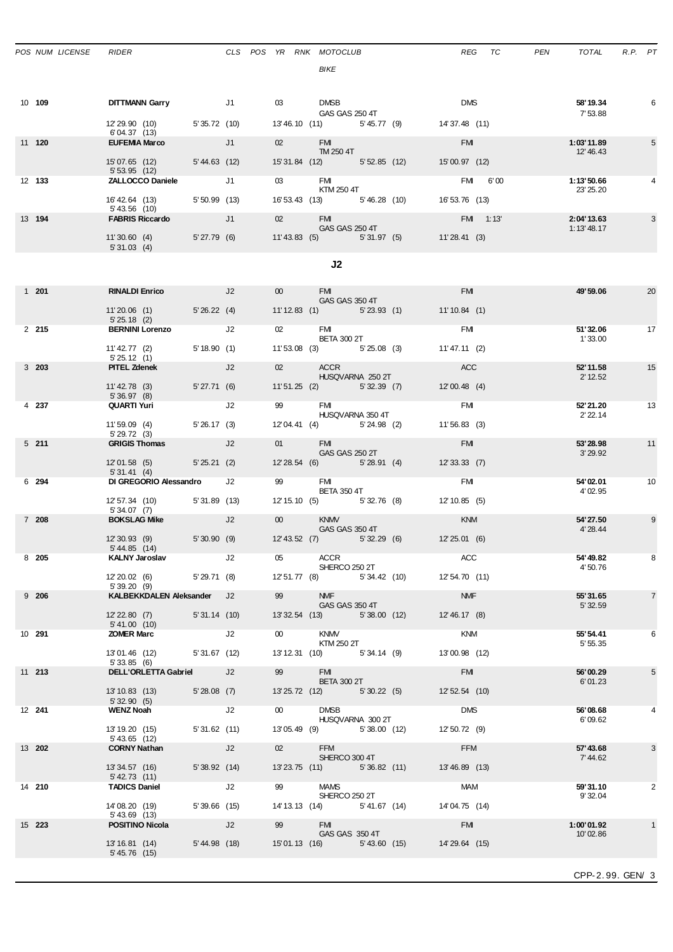|              |                                                           |                                                                                                                                                                                                                                                                                                                                                                                      |    |                   | BIKE                                                                   |               |  |                            |           |                         |                |  |  |
|--------------|-----------------------------------------------------------|--------------------------------------------------------------------------------------------------------------------------------------------------------------------------------------------------------------------------------------------------------------------------------------------------------------------------------------------------------------------------------------|----|-------------------|------------------------------------------------------------------------|---------------|--|----------------------------|-----------|-------------------------|----------------|--|--|
| 10 109       | <b>DITTMANN Garry</b>                                     | J1                                                                                                                                                                                                                                                                                                                                                                                   |    | $03 \quad \ldots$ | DMSB                                                                   |               |  | <b>DMS</b>                 |           | 58'19.34                | 6              |  |  |
|              | 12'29.90 (10) 5'35.72 (10)                                |                                                                                                                                                                                                                                                                                                                                                                                      |    |                   | GAS GAS 250 4T<br>13'46.10 (11) 5'45.77 (9)                            |               |  | 14' 37.48 (11)             |           | 7'53.88                 |                |  |  |
| 11 120       | 6'04.37(13)<br><b>EUFEMIA Marco</b>                       |                                                                                                                                                                                                                                                                                                                                                                                      | J1 | 02                | <b>FMI</b><br>TM 250 4T                                                |               |  | <b>FM</b>                  |           | 1:03'11.89<br>12' 46.43 | 5              |  |  |
|              | 15'07.65 (12) 5'44.63 (12)<br>5'53.95(12)                 |                                                                                                                                                                                                                                                                                                                                                                                      |    |                   | 15' 31.84 (12) 5' 52.85 (12)                                           |               |  | 15'00.97 (12)              |           |                         |                |  |  |
| 12 133       | <b>ZALLOCCO Daniele</b><br>16' 42.64 (13) 5' 50.99 (13)   |                                                                                                                                                                                                                                                                                                                                                                                      | J1 |                   | 03 FMI<br>KTM 250 4T<br>16' 53.43 (13) 5' 46.28 (10)                   |               |  | FMI 6'00<br>16' 53.76 (13) |           | 1:13'50.66<br>23' 25.20 |                |  |  |
| 13 194       | $5' 43.56$ (10)<br><b>FABRIS Riccardo</b>                 | $\overline{J}$ $\overline{J}$ $\overline{J}$ $\overline{J}$ $\overline{J}$ $\overline{J}$ $\overline{J}$ $\overline{J}$ $\overline{J}$ $\overline{J}$ $\overline{J}$ $\overline{J}$ $\overline{J}$ $\overline{J}$ $\overline{J}$ $\overline{J}$ $\overline{J}$ $\overline{J}$ $\overline{J}$ $\overline{J}$ $\overline{J}$ $\overline{J}$ $\overline{J}$ $\overline{J}$ $\overline{$ |    | $02 \quad$        | <b>FM</b>                                                              |               |  |                            | FMI 1:13' | 2:04'13.63              | 3              |  |  |
|              | 11'30.60 (4) 5'27.79 (6)<br>5'31.03(4)                    |                                                                                                                                                                                                                                                                                                                                                                                      |    |                   | GAS GAS 250 4T<br>11'43.83 (5) 5'31.97 (5) 11'28.41 (3)                |               |  |                            |           | 1:13'48.17              |                |  |  |
| J2           |                                                           |                                                                                                                                                                                                                                                                                                                                                                                      |    |                   |                                                                        |               |  |                            |           |                         |                |  |  |
| 1 201        | <b>RINALDI Enrico</b>                                     | and the state of the U2 and the U2                                                                                                                                                                                                                                                                                                                                                   |    | 00                | <b>EMI</b>                                                             |               |  | <b>FMI</b>                 |           | 49'59.06                | 20             |  |  |
|              | 11'20.06 (1) 5'26.22 (4)                                  |                                                                                                                                                                                                                                                                                                                                                                                      |    |                   | GAS GAS 350 4T<br>11'12.83 (1) 5'23.93 (1)                             |               |  | 11'10.84 (1)               |           |                         |                |  |  |
| 2, 215       | 5'25.18(2)<br><b>BERNINI Lorenzo</b>                      | J2                                                                                                                                                                                                                                                                                                                                                                                   |    |                   | 02 FMI<br><b>BETA 300 2T</b>                                           |               |  | <b>FMI</b>                 |           | 51'32.06<br>1'33.00     | 17             |  |  |
|              | 11'42.77 (2)<br>5'25.12(1)                                | 5'18.90(1)                                                                                                                                                                                                                                                                                                                                                                           |    |                   | 11'53.08 (3) 5'25.08 (3)                                               |               |  | 11'47.11 (2)               |           |                         |                |  |  |
| 3, 203       | <b>PITEL Zdenek</b>                                       |                                                                                                                                                                                                                                                                                                                                                                                      | J2 |                   | 02 ACCR<br>HUSQVARNA 250 2T                                            |               |  | <b>ACC</b>                 |           | 52' 11.58<br>2' 12.52   | 15             |  |  |
| 4 237        | 11'42.78 (3)<br>5'36.97(8)<br>QUARTI Yuri                 | 5' 27.71 (6)                                                                                                                                                                                                                                                                                                                                                                         | J2 |                   | 11'51.25 (2) 5'32.39 (7)<br>FM                                         |               |  | 12'00.48(4)<br><b>FMI</b>  |           | 52' 21.20               | 13             |  |  |
|              | 11'59.09 (4) 5'26.17 (3)                                  |                                                                                                                                                                                                                                                                                                                                                                                      |    |                   | HUSQVARNA 350 4T<br>12'04.41 (4) 5'24.98 (2)                           |               |  | 11'56.83(3)                |           | 2' 22.14                |                |  |  |
| 5211         | 5'29.72(3)<br><b>GRIGIS Thomas</b>                        | J2                                                                                                                                                                                                                                                                                                                                                                                   |    | $01$ and $01$     | <b>FMI</b><br>GAS GAS 250 2T                                           |               |  | <b>FM</b>                  |           | 53' 28.98<br>3' 29.92   | 11             |  |  |
|              | 12'01.58 (5) 5'25.21 (2)<br>5'31.41(4)                    |                                                                                                                                                                                                                                                                                                                                                                                      |    |                   | 12'28.54 (6) 5'28.91 (4)                                               |               |  | 12'33.33(7)                |           |                         |                |  |  |
| 6 294        | DI GREGORIO Alessandro J2<br>12' 57.34 (10) 5' 31.89 (13) |                                                                                                                                                                                                                                                                                                                                                                                      |    |                   | 99 FMI<br><b>BETA 350 4T</b><br>12' 15.10 (5) 5' 32.76 (8)             |               |  | FM<br>12'10.85 (5)         |           | 54'02.01<br>4'02.95     | 10             |  |  |
| 7 208        | 5'34.07 (7)<br><b>BOKSLAG Mike</b>                        |                                                                                                                                                                                                                                                                                                                                                                                      | J2 | 00                | <b>KNMV</b>                                                            |               |  | <b>KNM</b>                 |           | 54'27.50                | 9              |  |  |
|              | 12'30.93 (9) 5'30.90 (9)<br>5' 44.85 (14)                 |                                                                                                                                                                                                                                                                                                                                                                                      |    |                   | GAS GAS 350 4T<br>12' 43.52 (7) 5' 32.29 (6)                           |               |  | 12'25.01(6)                |           | 4' 28.44                |                |  |  |
| 8 205        | <b>KALNY Jaroslav</b>                                     | J2                                                                                                                                                                                                                                                                                                                                                                                   |    | 05                | ACCR<br>SHERCO 250 2T                                                  |               |  | ACC                        |           | 54' 49.82<br>4'50.76    | 8              |  |  |
|              | 12' 20.02 (6) 5' 29.71 (8)<br>5'39.20(9)                  |                                                                                                                                                                                                                                                                                                                                                                                      |    |                   | 12' 51.77 (8)                                                          | 5' 34.42 (10) |  | 12' 54.70 (11)             |           |                         |                |  |  |
| $9\quad 206$ | KALBEKKDALEN Aleksander J2<br>12'22.80 (7) 5'31.14 (10)   |                                                                                                                                                                                                                                                                                                                                                                                      |    |                   | 99 NMF<br>GAS GAS 350 4T<br>13' 32.54 (13) 5' 38.00 (12) 12' 46.17 (8) |               |  | <b>NMF</b>                 |           | 55'31.65<br>5'32.59     | $\overline{7}$ |  |  |
| 10 291       | 5' 41.00 (10)<br><b>ZOMER Marc</b>                        | J2                                                                                                                                                                                                                                                                                                                                                                                   |    | 00                | <b>KNMV</b>                                                            |               |  | KNM                        |           | 55' 54.41               | 6              |  |  |
|              | 13'01.46 (12) 5'31.67 (12)                                |                                                                                                                                                                                                                                                                                                                                                                                      |    |                   | KTM 250 2T<br>13'12.31 (10) 5'34.14 (9) 13'00.98 (12)                  |               |  |                            |           | 5' 55.35                |                |  |  |
| 11 213       | 5'33.85(6)<br>DELL'ORLETTA Gabriel J2                     |                                                                                                                                                                                                                                                                                                                                                                                      |    | 99                | FM 3<br><b>BETA 300 2T</b>                                             |               |  | <b>FM</b>                  |           | 56'00.29<br>6'01.23     | 5              |  |  |
|              | 13' 10.83 (13)<br>5' 32.90 (5)                            | $5'28.08$ (7)                                                                                                                                                                                                                                                                                                                                                                        |    |                   | 13'25.72 (12) 5'30.22 (5) 12'52.54 (10)                                |               |  |                            |           |                         |                |  |  |
| 12 241       | <b>WENZ Noah</b><br>13' 19.20 (15)                        | J2<br>5' 31.62 (11)                                                                                                                                                                                                                                                                                                                                                                  |    | 00                | <b>DMSB</b><br>HUSQVARNA 300 2T<br>13'05.49 (9) 5'38.00 (12)           |               |  | <b>DMS</b><br>12'50.72(9)  |           | 56'08.68<br>6'09.62     | 4              |  |  |
| 13 202       | 5' 43.65 (12)<br><b>CORNY Nathan</b>                      | J2                                                                                                                                                                                                                                                                                                                                                                                   |    | 02                | FFM <b>Exercise</b>                                                    |               |  | <b>FFM</b>                 |           | 57'43.68                | 3              |  |  |
|              | 13'34.57 (16)                                             | 5'38.92(14)                                                                                                                                                                                                                                                                                                                                                                          |    |                   | SHERCO 300 4T<br>13'23.75 (11) 5'36.82 (11)                            |               |  | 13'46.89 (13)              |           | 7' 44.62                |                |  |  |
| 14 210       | 5' 42.73 (11)<br><b>TADICS Daniel</b>                     | J2                                                                                                                                                                                                                                                                                                                                                                                   |    |                   | 99 MAMS<br>SHERCO 250 2T                                               |               |  | <b>MAM</b>                 |           | 59'31.10<br>9' 32.04    | 2              |  |  |
|              | 14'08.20 (19) 5'39.66 (15)<br>$5' 43.69$ (13)             |                                                                                                                                                                                                                                                                                                                                                                                      |    |                   | 14' 13.13 (14) 5' 41.67 (14)                                           |               |  | 14'04.75 (14)              |           |                         |                |  |  |
| 15 223       | <b>POSITINO Nicola</b>                                    | J2                                                                                                                                                                                                                                                                                                                                                                                   |    |                   | FM 7<br>GAS GAS 350 4T                                                 |               |  | <b>FMI</b>                 |           | 1:00'01.92<br>10'02.86  | $\mathbf{1}$   |  |  |
|              | 13'16.81 (14) 5'44.98 (18)<br>$5' 45.76$ (15)             |                                                                                                                                                                                                                                                                                                                                                                                      |    |                   | 15'01.13 (16) 5'43.60 (15)                                             |               |  | 14'29.64 (15)              |           |                         |                |  |  |

*POS NUM LICENSE RIDER CLS POS YR RNK MOTOCLUB REG TC PEN TOTAL R.P. PT*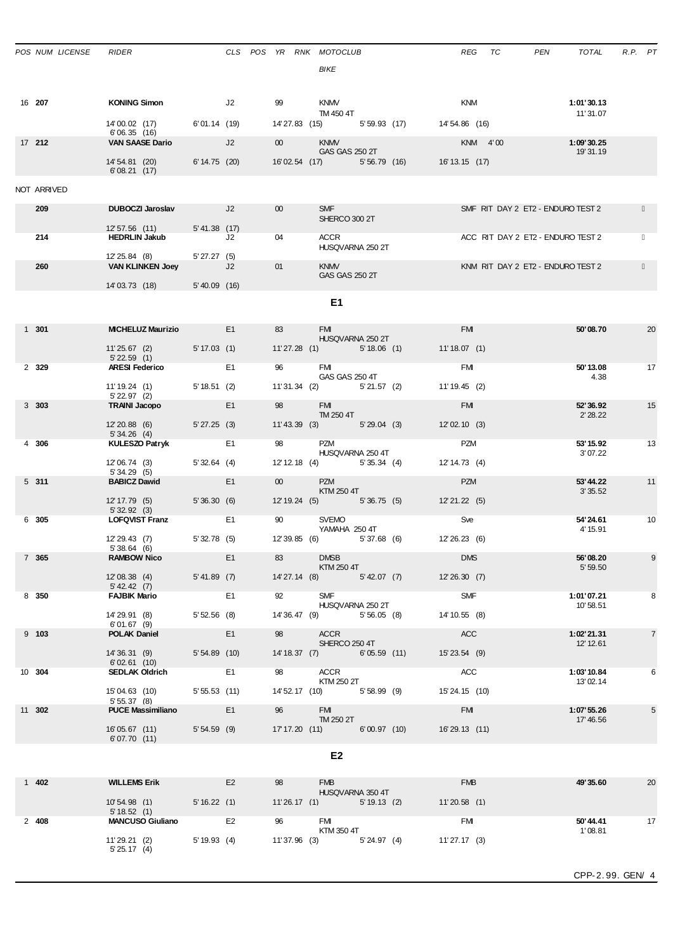| POS NUM LICENSE | RIDER                                                          |                  |                |                                                                                                                                                                                                                                 | CLS POS YR RNK MOTOCLUB<br>BIKE         |              | REG            | TC | PEN<br>TOTAL                      | $R.P.$ $PT$ |                |
|-----------------|----------------------------------------------------------------|------------------|----------------|---------------------------------------------------------------------------------------------------------------------------------------------------------------------------------------------------------------------------------|-----------------------------------------|--------------|----------------|----|-----------------------------------|-------------|----------------|
| 16 207          | <b>KONING Simon</b>                                            |                  | J2             | 99                                                                                                                                                                                                                              | <b>KNMV</b>                             |              | KNM            |    | 1:01'30.13                        |             |                |
|                 | 14'00.02 (17) 6'01.14 (19)<br>6'06.35(16)                      |                  |                |                                                                                                                                                                                                                                 | TM 450 4T<br>14'27.83 (15) 5'59.93 (17) |              | 14' 54.86 (16) |    | 11' 31.07                         |             |                |
| 17 212          | <b>VAN SAASE Dario</b>                                         | J2               |                | 00 <sup>1</sup>                                                                                                                                                                                                                 | <b>KNMV</b><br>GAS GAS 250 2T           |              | KNM 4'00       |    | 1:09'30.25<br>19' 31.19           |             |                |
|                 | 14' 54.81 (20)<br>6'08.21(17)                                  | $6' 14.75$ (20)  |                |                                                                                                                                                                                                                                 | 16'02.54 (17) 5'56.79 (16)              |              | 16' 13.15 (17) |    |                                   |             |                |
| NOT ARRIVED     |                                                                |                  |                |                                                                                                                                                                                                                                 |                                         |              |                |    |                                   |             |                |
| 209             | <b>DUBOCZI Jaroslav</b>                                        | $J2$ and $J2$    |                | 00 <sup>°</sup>                                                                                                                                                                                                                 | <b>SMF SMF</b><br>SHERCO 300 2T         |              |                |    | SMF RIT DAY 2 ET2 - ENDURO TEST 2 |             |                |
| 214             | 12'57.56 (11)<br><b>HEDRLIN Jakub</b>                          | $5' 41.38$ (17)  | J2             | 04                                                                                                                                                                                                                              | ACCR                                    |              |                |    | ACC RIT DAY 2 ET2 - ENDURO TEST 2 |             |                |
|                 |                                                                |                  |                |                                                                                                                                                                                                                                 | HUSQVARNA 250 2T                        |              |                |    |                                   |             |                |
| 260             | 12' 25.84 (8)<br><b>VAN KLINKEN Joey</b>                       | 5'27.27(5)       | J2             | 01                                                                                                                                                                                                                              | <b>KNMV</b><br>GAS GAS 250 2T           |              |                |    | KNM RIT DAY 2 ET2 - ENDURO TEST 2 |             |                |
|                 | 14'03.73 (18)                                                  | $5' 40.09$ (16)  |                |                                                                                                                                                                                                                                 |                                         |              |                |    |                                   |             |                |
|                 |                                                                |                  |                |                                                                                                                                                                                                                                 | E1                                      |              |                |    |                                   |             |                |
| $1301$          | <b>MICHELUZ Maurizio</b>                                       |                  | E1             | 83                                                                                                                                                                                                                              | <b>FM</b><br>HUSQVARNA 250 2T           |              | <b>FMI</b>     |    | 50'08.70                          |             | 20             |
|                 | 11'25.67 (2)<br>$5'$ 22.59 $(1)$                               | 5' 17.03(1)      |                |                                                                                                                                                                                                                                 | $11'27.28$ (1)<br>5'18.06 (1)           |              | 11'18.07(1)    |    |                                   |             |                |
| 2 329           | <b>ARESI Federico</b>                                          |                  | E <sub>1</sub> | 96                                                                                                                                                                                                                              | <b>FMI</b><br>GAS GAS 250 4T            |              | FM             |    | 50'13.08                          | 4.38        | 17             |
|                 | 11'19.24 (1)<br>$5'$ 22.97 (2)                                 | $5' 18.51$ (2)   |                |                                                                                                                                                                                                                                 | 11'31.34 (2) 5'21.57 (2)                |              | 11'19.45(2)    |    |                                   |             |                |
| $3\,303$        | <b>TRAINI Jacopo</b>                                           |                  | E1             | 98                                                                                                                                                                                                                              | FM <b>EXECUTE</b><br>TM 250 4T          |              | <b>FM</b>      |    | 52' 36.92<br>2'28.22              |             | 15             |
|                 | 12' 20.88 (6)<br>5'34.26(4)                                    | $5'$ 27.25 $(3)$ |                |                                                                                                                                                                                                                                 | 11'43.39 (3) 5'29.04 (3)                |              | 12'02.10(3)    |    |                                   |             |                |
| 4 306           | <b>KULESZO Patryk</b>                                          |                  | E <sub>1</sub> | 98                                                                                                                                                                                                                              | PZM<br>HUSQVARNA 250 4T                 |              | <b>PZM</b>     |    | 53' 15.92<br>3'07.22              |             | 13             |
|                 | 12'06.74 (3)<br>5'34.29(5)                                     | 5'32.64(4)       |                |                                                                                                                                                                                                                                 | 12' 12.18 (4) 5' 35.34 (4)              |              | 12' 14.73 (4)  |    |                                   |             |                |
| 5311            | <b>BABICZ Dawid</b>                                            |                  | E1             | $00$ and $0$                                                                                                                                                                                                                    | <b>PZM</b><br>KTM 250 4T                |              | <b>PZM</b>     |    | 53'44.22<br>3'35.52               |             | 11             |
|                 | 12' 17.79 (5)<br>5'32.92(3)                                    | 5'36.30(6)       |                |                                                                                                                                                                                                                                 | 12' 19.24 (5) 5' 36.75 (5)              |              | 12'21.22(5)    |    |                                   |             |                |
| 6 305           | <b>LOFQVIST Franz</b>                                          |                  | E <sub>1</sub> | 90 — 100 — 100 — 100 — 100 — 100 — 100 — 100 — 100 — 100 — 100 — 100 — 100 — 100 — 100 — 100 — 100 — 100 — 100 — 100 — 100 — 100 — 100 — 100 — 100 — 100 — 100 — 100 — 100 — 100 — 100 — 100 — 100 — 100 — 100 — 100 — 100 — 10 | SVEMO<br>YAMAHA 250 4T                  |              | <b>Sve</b>     |    | 54'24.61<br>4' 15.91              |             | 10             |
|                 | 12' 29.43 (7)<br>5'38.64(6)                                    | 5'32.78(5)       |                |                                                                                                                                                                                                                                 | 12' 39.85 (6)<br>5'37.68(6)             |              | 12' 26.23 (6)  |    |                                   |             |                |
| 7 365           | <b>RAMBOW Nico</b>                                             |                  | E1             | 83                                                                                                                                                                                                                              | <b>DMSB</b><br>KTM 250 4T               |              | <b>DMS</b>     |    | 56'08.20<br>5' 59.50              |             | 9              |
|                 | 12'08.38 (4)<br>5' 42.42 (7)                                   | $5' 41.89$ (7)   |                |                                                                                                                                                                                                                                 | $14' 27.14$ (8)<br>5' 42.07 (7)         |              | 12'26.30(7)    |    |                                   |             |                |
| 8 350           | <b>FAJBIK Mario</b>                                            |                  | E <sub>1</sub> | 92                                                                                                                                                                                                                              | <b>SMF</b><br>HUSQVARNA 250 2T          |              | SMF            |    | 1:01'07.21<br>10'58.51            |             | 8              |
|                 | 14'29.91 (8)<br>6'01.67(9)                                     | 5'52.56(8)       |                |                                                                                                                                                                                                                                 | 14'36.47 (9) 5'56.05 (8)                |              | 14' 10.55 (8)  |    |                                   |             |                |
| $9$ 103         | <b>POLAK Daniel</b>                                            |                  | E1             | 98                                                                                                                                                                                                                              | ACCR<br>SHERCO 250 4T                   |              | ACC            |    | 1:02'21.31<br>12' 12.61           |             | $\overline{7}$ |
|                 | 14' 36.31 (9)<br>6'02.61(10)                                   | $5'54.89$ (10)   |                |                                                                                                                                                                                                                                 | 14' 18.37 (7)<br>6'05.59(11)            |              | 15'23.54 (9)   |    |                                   |             |                |
| 10 304          | <b>SEDLAK Oldrich</b>                                          |                  | E <sub>1</sub> | 98                                                                                                                                                                                                                              | <b>ACCR</b><br>KTM 250 2T               |              | ACC            |    | 1:03'10.84<br>13'02.14            |             | 6              |
|                 | 15'04.63 (10)<br>5'55.37(8)                                    | 5'55.53(11)      |                |                                                                                                                                                                                                                                 | 14' 52.17 (10) 5' 58.99 (9)             |              | 15' 24.15 (10) |    |                                   |             |                |
| 11 302          | <b>PUCE Massimiliano</b>                                       | E1               |                | 96                                                                                                                                                                                                                              | <b>FMI</b><br>TM 250 2T                 |              | <b>FM</b>      |    | 1:07'55.26<br>17' 46.56           |             | 5              |
|                 | 16'05.67 (11)<br>6'07.70(11)                                   | $5'54.59$ (9)    |                |                                                                                                                                                                                                                                 | 17' 17.20 (11) 6' 00.97 (10)            |              | 16'29.13 (11)  |    |                                   |             |                |
|                 |                                                                |                  |                |                                                                                                                                                                                                                                 | E <sub>2</sub>                          |              |                |    |                                   |             |                |
| 1 402           | <b>WILLEMS Erik</b>                                            |                  | E <sub>2</sub> | 98                                                                                                                                                                                                                              | <b>FMB</b><br>HUSQVARNA 350 4T          |              | <b>FMB</b>     |    | 49'35.60                          |             | 20             |
|                 | $10'54.98$ (1)<br>5' 18.52(1)                                  | 5'16.22(1)       |                |                                                                                                                                                                                                                                 | 11'26.17(1)                             | 5' 19.13 (2) | 11'20.58(1)    |    |                                   |             |                |
| 2 408           | <b>MANCUSO Giuliano</b>                                        |                  | E <sub>2</sub> | 96                                                                                                                                                                                                                              | <b>FMI</b><br>KTM 350 4T                |              | FM             |    | 50'44.41                          |             | 17             |
|                 | 11'29.21 (2) 5'19.93 (4) 11'37.96 (3) 5'24.97 (4) 11'27.17 (3) |                  |                |                                                                                                                                                                                                                                 |                                         |              |                |    | 1'08.81                           |             |                |

5' 25.17 (4)

CPP-2. 99. GEN/ 4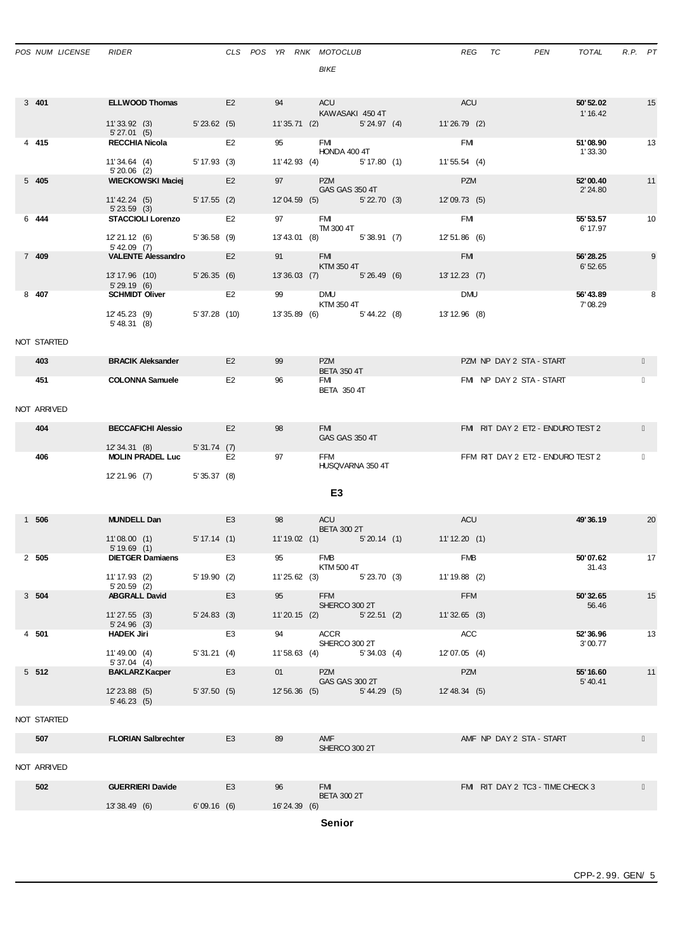| POS NUM LICENSE | RIDER                                                 |              |                |  |               |              | CLS POS YR RNK MOTOCLUB<br><b>BIKE</b>       |                |  |                              |            | REG TC | PEN                               | TOTAL                 | R.P. PT |    |
|-----------------|-------------------------------------------------------|--------------|----------------|--|---------------|--------------|----------------------------------------------|----------------|--|------------------------------|------------|--------|-----------------------------------|-----------------------|---------|----|
| 3 401           | <b>ELLWOOD Thomas</b> E2                              |              |                |  | 94            |              | ACU                                          |                |  | ACU                          |            |        |                                   | 50' 52.02             |         | 15 |
|                 | 11'33.92 (3) 5'23.62 (5)                              |              |                |  |               |              | KAWASAKI 450 4T<br>11'35.71 (2) 5'24.97 (4)  |                |  | 11'26.79 (2)                 |            |        |                                   | 1' 16.42              |         |    |
| 4 4 15          | 5'27.01(5)<br><b>RECCHIA Nicola</b>                   |              | E <sub>2</sub> |  |               |              | <b>FMI</b>                                   |                |  | <b>FMI</b>                   |            |        |                                   | 51'08.90              |         | 13 |
|                 | 11'34.64 (4) 5'17.93 (3)<br>$5'20.06$ (2)             |              |                |  |               |              | HONDA 400 4T<br>11'42.93 (4) 5'17.80 (1)     |                |  | 11'55.54 (4)                 |            |        |                                   | 1'33.30               |         |    |
| 5405            | <b>WIECKOWSKI Maciej</b>                              |              | E2             |  | 97            |              | <b>PZM</b><br>GAS GAS 350 4T                 |                |  | <b>PZM</b>                   |            |        |                                   | 52'00.40<br>2' 24.80  |         | 11 |
|                 | 11'42.24 (5) 5'17.55 (2)<br>$5'$ 23.59 (3)            |              |                |  |               |              | 12'04.59 (5) 5'22.70 (3)                     |                |  | 12'09.73 (5)                 |            |        |                                   |                       |         |    |
| 6 444           | <b>STACCIOLI Lorenzo</b>                              |              | E2             |  | 97            |              | <b>FMI</b><br>TM 300 4T                      |                |  | <b>FMI</b>                   |            |        |                                   | 55' 53.57<br>6' 17.97 |         | 10 |
|                 | 12'21.12 (6) 5'36.58 (9)<br>$5'$ 42.09 (7)            |              |                |  |               |              | 13'43.01 (8) 5'38.91 (7)                     |                |  | 12'51.86 (6)                 |            |        |                                   |                       |         |    |
| 7 409           | <b>VALENTE Alessandro</b> E2                          |              |                |  | 91            |              | FMI <sub>1</sub><br>KTM 350 4T               |                |  | <b>FM</b>                    |            |        |                                   | 56'28.25<br>6'52.65   |         | 9  |
|                 | 13' 17.96 (10) 5' 26.35 (6)<br>5'29.19(6)             |              |                |  |               |              | 13'36.03 (7) 5'26.49 (6)                     |                |  | 13'12.23 (7)                 |            |        |                                   |                       |         |    |
| 8 407           | <b>SCHMIDT Oliver</b>                                 |              | E <sub>2</sub> |  |               | 99 — 100     | <b>DMU</b><br>KTM 350 4T                     |                |  |                              | <b>DMU</b> |        |                                   | 56'43.89<br>7'08.29   |         | 8  |
|                 | 12' 45.23 (9) 5' 37.28 (10)<br>5' 48.31 (8)           |              |                |  |               |              | 13' 35.89 (6) 5' 44.22 (8)                   |                |  | 13'12.96 (8)                 |            |        |                                   |                       |         |    |
| NOT STARTED     |                                                       |              |                |  |               |              |                                              |                |  |                              |            |        |                                   |                       |         |    |
| 403             | <b>BRACIK Aleksander</b>                              |              | E2             |  | 99            |              | <b>PZM</b><br><b>BETA 350 4T</b>             |                |  |                              |            |        | PZM NP DAY 2 STA - START          |                       |         |    |
| 451             | <b>COLONNA Samuele</b>                                |              | E <sub>2</sub> |  | 96            |              | FMI<br><b>BETA 350 4T</b>                    |                |  |                              |            |        | FMI NP DAY 2 STA - START          |                       |         |    |
| NOT ARRIVED     |                                                       |              |                |  |               |              |                                              |                |  |                              |            |        |                                   |                       |         |    |
| 404             | <b>BECCAFICHI Alessio</b>                             |              | E2             |  | 98            |              | <b>FMI EXISTENT</b><br>GAS GAS 350 4T        |                |  |                              |            |        | FMIRIT DAY 2 ET2 - ENDURO TEST 2  |                       |         |    |
| 406             | 12' 34.31 (8) 5' 31.74 (7)<br><b>MOLIN PRADEL Luc</b> |              | E2             |  | 97            |              | <b>FFM</b>                                   |                |  |                              |            |        | FFM RIT DAY 2 ET2 - ENDURO TEST 2 |                       |         |    |
|                 |                                                       |              |                |  |               |              | HUSQVARNA 350 4T                             |                |  |                              |            |        |                                   |                       |         |    |
|                 | 12'21.96 (7) 5'35.37 (8)                              |              |                |  |               |              |                                              | E <sub>3</sub> |  |                              |            |        |                                   |                       |         |    |
|                 |                                                       |              |                |  |               |              |                                              |                |  |                              |            |        |                                   | 49'36.19              |         |    |
| 1 506           | <b>MUNDELL Dan</b>                                    |              | E <sub>3</sub> |  | 98            |              | ACU<br><b>BETA 300 2T</b>                    |                |  | <b>ACU</b>                   |            |        |                                   |                       |         | 20 |
|                 | 11'08.00(1)<br>5'19.69(1)                             | 5' 17.14 (1) | <u>a sa sa</u> |  |               |              | $11'19.02$ (1)                               |                |  | $5'20.14$ (1) $11'12.20$ (1) |            |        |                                   |                       |         |    |
| $2\quad505$     | <b>DIETGER Damiaens</b>                               |              | E3             |  |               |              | <b>FMB</b><br>KTM 500 4T                     |                |  | <b>FMB</b>                   |            |        |                                   | 50'07.62<br>31.43     |         | 17 |
|                 | 11' 17.93 (2)<br>$5'20.59$ (2)                        | 5'19.90(2)   |                |  |               |              | 11'25.62 (3) 5'23.70 (3)                     |                |  | $11'19.88$ (2)               |            |        |                                   |                       |         |    |
| 3 504           | <b>ABGRALL David</b>                                  |              | E <sub>3</sub> |  | 95            |              | <b>FFM</b><br>SHERCO 300 2T                  |                |  | <b>FFM</b>                   |            |        |                                   | 50'32.65<br>56.46     |         | 15 |
|                 | 11'27.55(3)<br>5'24.96(3)                             | 5'24.83(3)   |                |  |               |              | $11'20.15$ (2)                               | 5'22.51(2)     |  | $11'32.65$ (3)               |            |        |                                   |                       |         |    |
| 4 501           | <b>HADEK Jiri</b>                                     |              | E <sub>3</sub> |  | 94            |              | ACCR<br>SHERCO 300 2T                        |                |  | <b>ACC</b>                   |            |        |                                   | 52' 36.96<br>3'00.77  |         | 13 |
|                 | 11'49.00(4)                                           | 5'31.21(4)   |                |  |               |              | 11'58.63 (4) 5'34.03 (4)                     |                |  | 12'07.05 (4)                 |            |        |                                   |                       |         |    |
| $5\;512$        | 5'37.04(4)<br><b>BAKLARZ Kacper</b>                   |              | E <sub>3</sub> |  | $01$ and $01$ |              | <b>PZM</b>                                   |                |  | <b>PZM</b>                   |            |        |                                   | 55' 16.60             |         | 11 |
|                 | $12' 23.88$ (5)<br>5' 46.23(5)                        | 5'37.50(5)   |                |  |               |              | GAS GAS 300 2T<br>12' 56.36 (5) 5' 44.29 (5) |                |  | 12' 48.34 (5)                |            |        |                                   | 5' 40.41              |         |    |
| NOT STARTED     |                                                       |              |                |  |               |              |                                              |                |  |                              |            |        |                                   |                       |         |    |
| 507             | <b>FLORIAN Salbrechter</b>                            |              | E <sub>3</sub> |  | 89            |              | AMF<br>SHERCO 300 2T                         |                |  |                              |            |        | AMF NP DAY 2 STA - START          |                       |         |    |
| NOT ARRIVED     |                                                       |              |                |  |               |              |                                              |                |  |                              |            |        |                                   |                       |         |    |
| 502             | <b>GUERRIERI Davide</b>                               |              | E <sub>3</sub> |  | 96            |              | <b>FMI</b>                                   |                |  |                              |            |        | FMI RIT DAY 2 TC3 - TIME CHECK 3  |                       |         |    |
|                 | 13'38.49 (6) 6'09.16 (6)                              |              |                |  |               | 16'24.39 (6) | <b>BETA 300 2T</b>                           |                |  |                              |            |        |                                   |                       |         |    |
|                 |                                                       |              |                |  |               |              | Senior                                       |                |  |                              |            |        |                                   |                       |         |    |

CPP-2. 99. GEN/ 5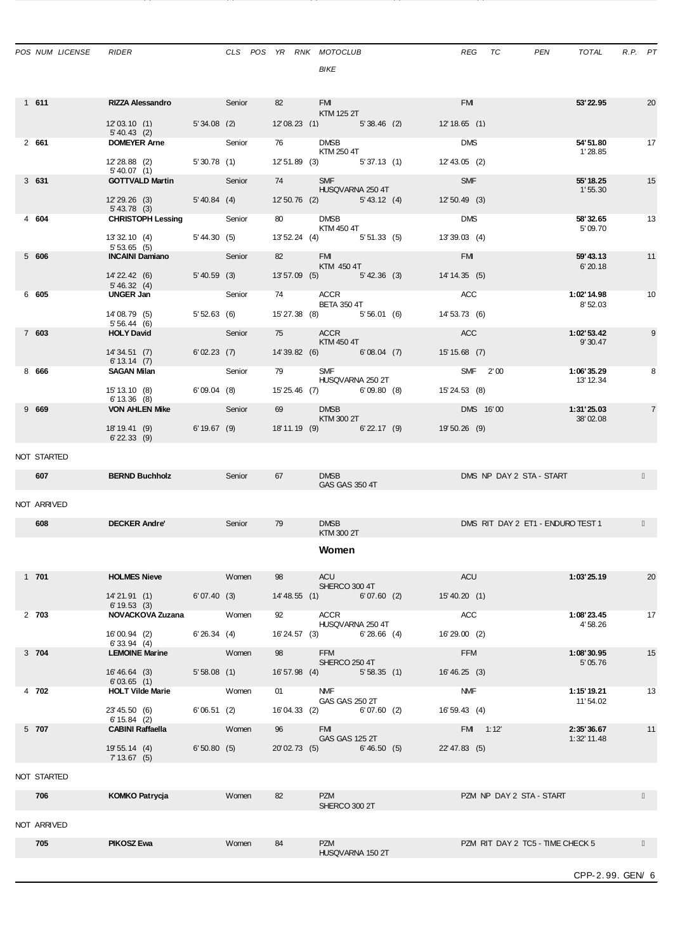| POS NUM LICENSE | <b>RIDER</b>                               |                         |              |    |       | CLS POS YR RNK MOTOCLUB<br>BIKE       | REG            | PEN<br>TC                         | TOTAL                       | R.P. PT |                |
|-----------------|--------------------------------------------|-------------------------|--------------|----|-------|---------------------------------------|----------------|-----------------------------------|-----------------------------|---------|----------------|
| 1 611           | <b>RIZZA Alessandro Senior</b>             |                         |              |    | 82    | FM <b>Exercise</b><br>KTM 125 2T      | <b>FMI</b>     |                                   | 53' 22.95                   |         | 20             |
|                 | 12'03.10 (1) 5'34.08 (2)<br>$5' 40.43$ (2) |                         |              |    |       | 12'08.23 (1) 5'38.46 (2) 12'18.65 (1) |                |                                   |                             |         |                |
| 2 661           | <b>DOMEYER Arne</b> Senior                 |                         |              |    |       | 76 DMSB<br>KTM 250 4T                 | <b>DMS</b>     |                                   | 54' 51.80<br>1'28.85        |         | 17             |
|                 | 12' 28.88 (2) 5' 30.78 (1)<br>5' 40.07(1)  |                         |              |    |       | 12' 51.89 (3) 5' 37.13 (1)            | 12' 43.05 (2)  |                                   |                             |         |                |
| 3631            | <b>GOTTVALD Martin</b> Senior              |                         |              |    |       | 74 SMF<br>HUSQVARNA 250 4T            | <b>SMF</b>     |                                   | 55' 18.25<br>1'55.30        |         | 15             |
|                 | 12'29.26 (3) 5'40.84 (4)<br>$5' 43.78$ (3) |                         |              |    |       | 12' 50.76 (2) 5' 43.12 (4)            | 12'50.49(3)    |                                   |                             |         |                |
| 4 604           | <b>CHRISTOPH Lessing Senior</b>            |                         |              |    | 80 80 | <b>DMSB</b><br>KTM 450 4T             | <b>DMS</b>     |                                   | 58'32.65<br>5'09.70         |         | 13             |
|                 | 13' 32.10 (4)<br>5'53.65(5)                |                         | 5'44.30 (5)  |    |       | 13' 52.24 (4) 5' 51.33 (5)            | 13'39.03 (4)   |                                   |                             |         |                |
| 5 606           | <b>INCAINI Damiano</b> Senior              |                         |              |    |       | 82 FMI<br>KTM 450 4T                  | <b>EMI</b>     |                                   | 59'43.13<br>6'20.18         |         | 11             |
|                 | 14' 22.42 (6)<br>5' 46.32(4)               |                         | 5'40.59 (3)  |    |       | 13'57.09 (5) 5'42.36 (3)              | 14' 14.35 (5)  |                                   |                             |         |                |
| 6 605           | UNGER Jan                                  | <b>Senior</b>           |              |    |       | 74 ACCR<br><b>BETA 350 4T</b>         | ACC            |                                   | 1:02'14.98<br>8'52.03       |         | 10             |
|                 | 14'08.79 (5)<br>5'56.44(6)                 | 5'52.63 (6)             |              |    |       | 15' 27.38 (8) 5' 56.01 (6)            | 14' 53.73 (6)  |                                   |                             |         |                |
| 7 603           | <b>HOLY David</b>                          | <b>Senior</b>           |              |    |       | 75 ACCR<br>KTM 450 4T                 | <b>ACC</b>     |                                   | 1:02'53.42<br>9'30.47       |         | 9              |
|                 | 14'34.51(7)<br>6' 13.14 (7)                |                         | 6'02.23(7)   |    |       | 14'39.82 (6) 6'08.04 (7)              | 15' 15.68 (7)  |                                   |                             |         |                |
| 8 666           | <b>SAGAN Milan</b>                         | <b>Senior</b>           |              |    |       | 79 SMF<br>HUSQVARNA 250 2T            | SMF 2'00       |                                   | 1:06'35.29<br>13' 12.34     |         | 8              |
|                 | 15' 13.10 (8)<br>6' 13.36 (8)              |                         | 6'09.04(8)   |    |       | 15'25.46 (7) 6'09.80 (8)              | 15' 24.53 (8)  |                                   |                             |         |                |
| 9669            | <b>VON AHLEN Mike</b>                      | <b>Senior</b>           |              |    |       | <b>DMSB</b><br>KTM 300 2T             | DMS 16'00      |                                   | 1:31'25.03<br>38'02.08      |         | $\overline{7}$ |
|                 | 18' 19.41 (9)<br>$6'$ 22.33 (9)            |                         | 6' 19.67 (9) |    |       | 18'11.19 (9) 6'22.17 (9)              | 19'50.26 (9)   |                                   |                             |         |                |
| NOT STARTED     |                                            |                         |              |    |       |                                       |                |                                   |                             |         |                |
| 607             | <b>BERND Buchholz</b>                      | <b>Senior</b> Senior    |              | 67 |       | <b>DMSB</b><br>GAS GAS 350 4T         |                | DMS NP DAY 2 STA - START          |                             |         |                |
| NOT ARRIVED     |                                            |                         |              |    |       |                                       |                |                                   |                             |         |                |
| 608             | <b>DECKER Andre'</b>                       |                         | Senior       | 79 |       | <b>DMSB</b>                           |                | DMS RIT DAY 2 ET1 - ENDURO TEST 1 |                             |         |                |
|                 |                                            |                         |              |    |       | KTM 300 2T                            |                |                                   |                             |         |                |
|                 |                                            |                         |              |    |       | Women                                 |                |                                   |                             |         |                |
| 1 701           | <b>HOLMES Nieve</b>                        |                         | Women        | 98 |       | ACU<br>SHERCO 300 4T                  | ACU            |                                   | 1:03'25.19                  |         | 20             |
|                 | 14'21.91 (1) 6'07.40 (3)<br>6'19.53(3)     |                         |              |    |       | 14' 48.55 (1) 6' 07.60 (2)            | 15'40.20 (1)   |                                   |                             |         |                |
| 2 703           | <b>NOVACKOVA Zuzana</b> Women              |                         |              |    |       | ACCR<br>HUSQVARNA 250 4T              | <b>ACC</b>     |                                   | 1:08'23.45<br>4'58.26       |         | 17             |
|                 | 16'00.94 (2)<br>6'33.94(4)                 | 6'26.34(4)              |              |    |       | 16'24.57 (3) 6'28.66 (4)              | 16'29.00 (2)   |                                   |                             |         |                |
| 3 704           | <b>LEMOINE Marine</b>                      | <b>Women</b>            |              | 98 |       | <b>FFM</b><br>SHERCO 250 4T           | <b>FFM</b>     |                                   | 1:08'30.95<br>5' 05.76      |         | 15             |
|                 | 16' 46.64 (3)<br>6'03.65(1)                | 5'58.08(1)              |              |    |       | 16' 57.98 (4)<br>5'58.35(1)           | 16' 46, 25 (3) |                                   |                             |         |                |
| 4 702           | <b>HOLT Vilde Marie</b>                    | <b>Example 10</b> Women |              |    |       | 01 NMF<br>GAS GAS 250 2T              | <b>NMF</b>     |                                   | 1:15' 19.21<br>11' 54.02    |         | 13             |
|                 | 23'45.50 (6)<br>$6' 15.84$ (2)             | 6'06.51 (2)             |              |    |       | 16'04.33 (2) 6'07.60 (2)              | 16' 59.43 (4)  |                                   |                             |         |                |
| 5 707           | <b>CABINI Raffaella</b>                    | <b>Example 19 Women</b> |              | 96 |       | <b>FMI</b><br>GAS GAS 125 2T          | FM 1:12        |                                   | 2:35'36.67<br>$1:32'$ 11.48 |         | 11             |
|                 | 19' 55.14 (4) 6' 50.80 (5)<br>7'13.67(5)   |                         |              |    |       | 20'02.73 (5)<br>6'46.50(5)            | 22' 47.83 (5)  |                                   |                             |         |                |
| NOT STARTED     |                                            |                         |              |    |       |                                       |                |                                   |                             |         |                |
| 706             | <b>KOMKO Patrycja</b>                      |                         | Women        | 82 |       | <b>PZM</b>                            |                | PZM NP DAY 2 STA - START          |                             |         |                |
|                 |                                            |                         |              |    |       | SHERCO 300 2T                         |                |                                   |                             |         |                |
| NOT ARRIVED     |                                            |                         |              |    |       |                                       |                |                                   |                             |         |                |
| 705             | <b>PIKOSZ Ewa</b>                          |                         | Women        | 84 |       | <b>PZM</b><br>HUSQVARNA 150 2T        |                | PZM RIT DAY 2 TC5 - TIME CHECK 5  |                             |         |                |
|                 |                                            |                         |              |    |       |                                       |                |                                   | CPP-2.99. GEN/ 6            |         |                |

21' 44.38 (5) 7' 11.96 (6) 24' 35.39 (6) 7' 33.73 (6) 29' 11.60 (6)